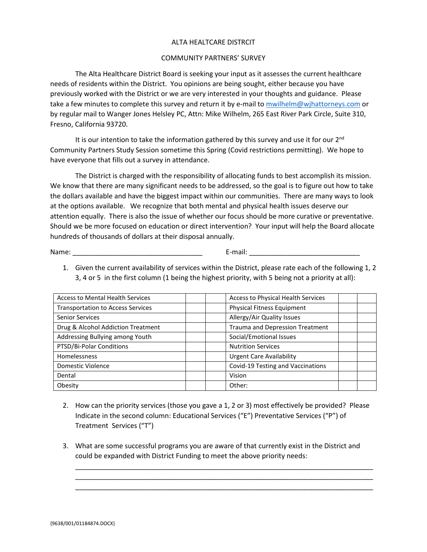## ALTA HEALTCARE DISTRCIT

## COMMUNITY PARTNERS' SURVEY

The Alta Healthcare District Board is seeking your input as it assesses the current healthcare needs of residents within the District. You opinions are being sought, either because you have previously worked with the District or we are very interested in your thoughts and guidance. Please take a few minutes to complete this survey and return it by e-mail t[o mwilhelm@wjhattorneys.com](mailto:mwilhelm@wjhattorneys.com) or by regular mail to Wanger Jones Helsley PC, Attn: Mike Wilhelm, 265 East River Park Circle, Suite 310, Fresno, California 93720.

It is our intention to take the information gathered by this survey and use it for our  $2<sup>nd</sup>$ Community Partners Study Session sometime this Spring (Covid restrictions permitting). We hope to have everyone that fills out a survey in attendance.

The District is charged with the responsibility of allocating funds to best accomplish its mission. We know that there are many significant needs to be addressed, so the goal is to figure out how to take the dollars available and have the biggest impact within our communities. There are many ways to look at the options available. We recognize that both mental and physical health issues deserve our attention equally. There is also the issue of whether our focus should be more curative or preventative. Should we be more focused on education or direct intervention? Your input will help the Board allocate hundreds of thousands of dollars at their disposal annually.

Name: \_\_\_\_\_\_\_\_\_\_\_\_\_\_\_\_\_\_\_\_\_\_\_\_\_\_\_\_\_\_\_\_\_\_ E-mail: \_\_\_\_\_\_\_\_\_\_\_\_\_\_\_\_\_\_\_\_\_\_\_\_\_\_\_\_\_

1. Given the current availability of services within the District, please rate each of the following 1, 2 3, 4 or 5 in the first column (1 being the highest priority, with 5 being not a priority at all):

| <b>Access to Mental Health Services</b>  | <b>Access to Physical Health Services</b> |  |
|------------------------------------------|-------------------------------------------|--|
| <b>Transportation to Access Services</b> | Physical Fitness Equipment                |  |
| <b>Senior Services</b>                   | Allergy/Air Quality Issues                |  |
| Drug & Alcohol Addiction Treatment       | Trauma and Depression Treatment           |  |
| Addressing Bullying among Youth          | Social/Emotional Issues                   |  |
| PTSD/Bi-Polar Conditions                 | <b>Nutrition Services</b>                 |  |
| Homelessness                             | <b>Urgent Care Availability</b>           |  |
| Domestic Violence                        | Covid-19 Testing and Vaccinations         |  |
| Dental                                   | Vision                                    |  |
| Obesity                                  | Other:                                    |  |

- 2. How can the priority services (those you gave a 1, 2 or 3) most effectively be provided? Please Indicate in the second column: Educational Services ("E") Preventative Services ("P") of Treatment Services ("T")
- 3. What are some successful programs you are aware of that currently exist in the District and could be expanded with District Funding to meet the above priority needs:

\_\_\_\_\_\_\_\_\_\_\_\_\_\_\_\_\_\_\_\_\_\_\_\_\_\_\_\_\_\_\_\_\_\_\_\_\_\_\_\_\_\_\_\_\_\_\_\_\_\_\_\_\_\_\_\_\_\_\_\_\_\_\_\_\_\_\_\_\_\_\_\_\_\_\_\_\_\_ \_\_\_\_\_\_\_\_\_\_\_\_\_\_\_\_\_\_\_\_\_\_\_\_\_\_\_\_\_\_\_\_\_\_\_\_\_\_\_\_\_\_\_\_\_\_\_\_\_\_\_\_\_\_\_\_\_\_\_\_\_\_\_\_\_\_\_\_\_\_\_\_\_\_\_\_\_\_ \_\_\_\_\_\_\_\_\_\_\_\_\_\_\_\_\_\_\_\_\_\_\_\_\_\_\_\_\_\_\_\_\_\_\_\_\_\_\_\_\_\_\_\_\_\_\_\_\_\_\_\_\_\_\_\_\_\_\_\_\_\_\_\_\_\_\_\_\_\_\_\_\_\_\_\_\_\_